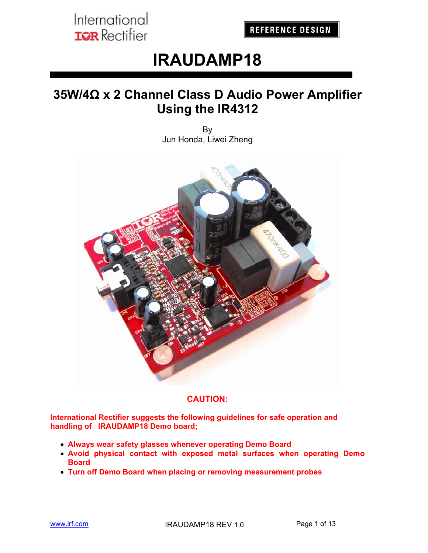**REFERENCE DESIGN** 

# **IRAUDAMP18**

## **35W/4Ω x 2 Channel Class D Audio Power Amplifier Using the IR4312**

By Jun Honda, Liwei Zheng



### **CAUTION:**

**International Rectifier suggests the following guidelines for safe operation and handling of IRAUDAMP18 Demo board;** 

- **Always wear safety glasses whenever operating Demo Board**
- **Avoid physical contact with exposed metal surfaces when operating Demo Board**
- **Turn off Demo Board when placing or removing measurement probes**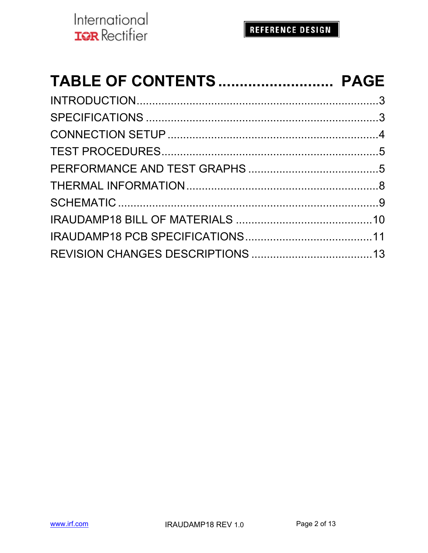| TABLE OF CONTENTS PAGE |  |
|------------------------|--|
|                        |  |
|                        |  |
|                        |  |
|                        |  |
|                        |  |
|                        |  |
|                        |  |
|                        |  |
|                        |  |
|                        |  |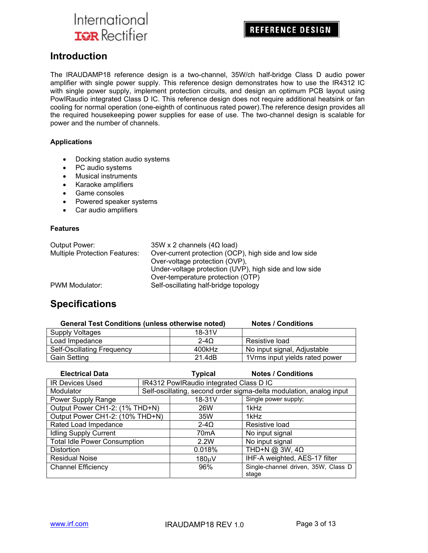**REFERENCE DESIGN** 

### **Introduction**

The IRAUDAMP18 reference design is a two-channel, 35W/ch half-bridge Class D audio power amplifier with single power supply. This reference design demonstrates how to use the IR4312 IC with single power supply, implement protection circuits, and design an optimum PCB layout using PowIRaudio integrated Class D IC. This reference design does not require additional heatsink or fan cooling for normal operation (one-eighth of continuous rated power).The reference design provides all the required housekeeping power supplies for ease of use. The two-channel design is scalable for power and the number of channels.

#### **Applications**

- Docking station audio systems
- PC audio systems
- Musical instruments
- Karaoke amplifiers
- Game consoles
- Powered speaker systems
- Car audio amplifiers

#### **Features**

| Output Power:                        | $35W \times 2$ channels (4 $\Omega$ load)              |
|--------------------------------------|--------------------------------------------------------|
| <b>Multiple Protection Features:</b> | Over-current protection (OCP), high side and low side  |
|                                      | Over-voltage protection (OVP),                         |
|                                      | Under-voltage protection (UVP), high side and low side |
|                                      | Over-temperature protection (OTP)                      |
| PWM Modulator:                       | Self-oscillating half-bridge topology                  |

## **Specifications**

| <b>General Test Conditions (unless otherwise noted)</b> |          | <b>Notes / Conditions</b>      |
|---------------------------------------------------------|----------|--------------------------------|
| Supply Voltages                                         | $18-31V$ |                                |
| Load Impedance                                          | 2-40     | Resistive load                 |
| Self-Oscillating Frequency                              | 400kHz   | No input signal, Adjustable    |
| <b>Gain Setting</b>                                     | 21.4dB   | 1Vrms input yields rated power |

| <b>Electrical Data</b>              |  | <b>Typical</b>                          | <b>Notes / Conditions</b>                                           |
|-------------------------------------|--|-----------------------------------------|---------------------------------------------------------------------|
| <b>IR Devices Used</b>              |  | IR4312 PowlRaudio integrated Class D IC |                                                                     |
| Modulator                           |  |                                         | Self-oscillating, second order sigma-delta modulation, analog input |
| Power Supply Range                  |  | $18-31V$                                | Single power supply;                                                |
| Output Power CH1-2: (1% THD+N)      |  | 26W                                     | 1kHz                                                                |
| Output Power CH1-2: (10% THD+N)     |  | 35W                                     | 1kHz                                                                |
| Rated Load Impedance                |  | $2-4\Omega$                             | Resistive load                                                      |
| <b>Idling Supply Current</b>        |  | 70mA                                    | No input signal                                                     |
| <b>Total Idle Power Consumption</b> |  | 2.2W                                    | No input signal                                                     |
| <b>Distortion</b>                   |  | 0.018%                                  | THD+N @ 3W, $4\Omega$                                               |
| <b>Residual Noise</b>               |  | 180uV                                   | IHF-A weighted, AES-17 filter                                       |
| <b>Channel Efficiency</b>           |  | 96%                                     | Single-channel driven, 35W, Class D<br>stage                        |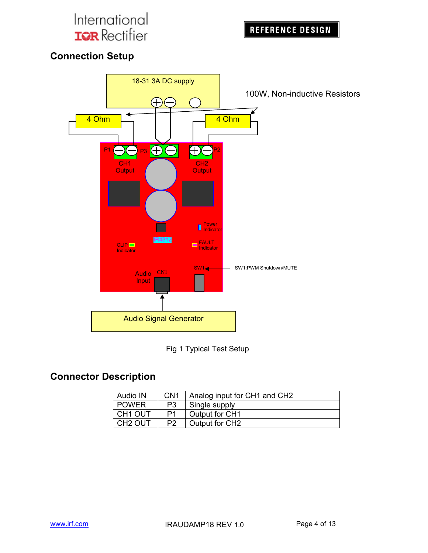**REFERENCE DESIGN** 

## **Connection Setup**





### **Connector Description**

| <b>Audio IN</b>     | CN <sub>1</sub> | Analog input for CH1 and CH2 |
|---------------------|-----------------|------------------------------|
| <b>POWER</b>        | P3              | Single supply                |
| CH <sub>1</sub> OUT | P1              | Output for CH1               |
| CH <sub>2</sub> OUT | P <sub>2</sub>  | Output for CH2               |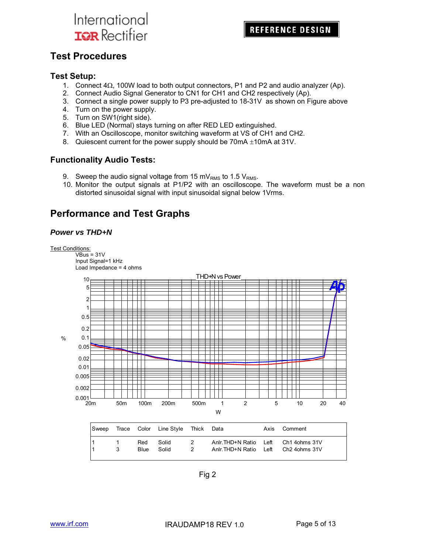## **Test Procedures**

### **Test Setup:**

- 1. Connect  $4\Omega$ , 100W load to both output connectors, P1 and P2 and audio analyzer (Ap).
- 2. Connect Audio Signal Generator to CN1 for CH1 and CH2 respectively (Ap).
- 3. Connect a single power supply to P3 pre-adjusted to 18-31V as shown on Figure above
- 4. Turn on the power supply.
- 5. Turn on SW1(right side).
- 6. Blue LED (Normal) stays turning on after RED LED extinguished.
- 7. With an Oscilloscope, monitor switching waveform at VS of CH1 and CH2.
- 8. Quiescent current for the power supply should be  $70mA \pm 10mA$  at 31V.

### **Functionality Audio Tests:**

- 9. Sweep the audio signal voltage from 15 mV<sub>RMS</sub> to 1.5 V<sub>RMS</sub>.
- 10. Monitor the output signals at P1/P2 with an oscilloscope. The waveform must be a non distorted sinusoidal signal with input sinusoidal signal below 1Vrms.

### **Performance and Test Graphs**

### *Power vs THD+N*



 $\overline{\text{VBus}}$  = 31V Input Signal=1 kHz Load Impedance = 4 ohms



| Sweep |   |             | Trace Color Line Style Thick Data |         |                                                                              | Axis | Comment |
|-------|---|-------------|-----------------------------------|---------|------------------------------------------------------------------------------|------|---------|
|       | 3 | Red<br>Blue | Solid<br>Solid                    | 2<br>-2 | Anir. THD+N Ratio Left Ch1 40hms 31V<br>Anir. THD+N Ratio Left Ch2 4ohms 31V |      |         |

Fig 2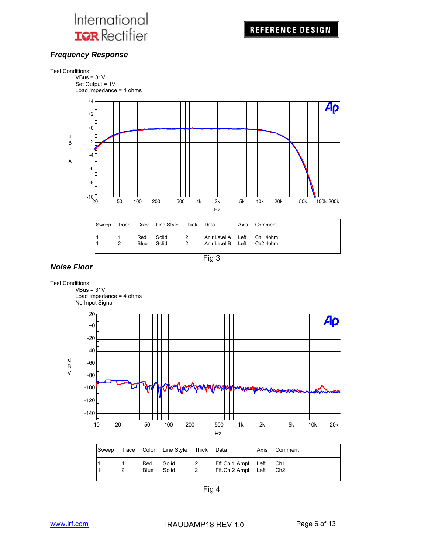### *Frequency Response*





### *Noise Floor*

#### **Test Conditions:**  $VBus = 31V$  Load Impedance = 4 ohms No Input Signal +20 Ap +0 -20 -40 d -60 B V -80 -100 ₩ -120 -140 10 20 50 100 200 500 1k 2k 5k 10k 20k Hz Sweep Trace Color Line Style Thick Data Axis Comment 1 1 Red Solid 2 Fft.Ch.1 Ampl Left Ch1 1 2 Blue Solid 2 Fft.Ch.2 Ampl Left Ch2

Fig 4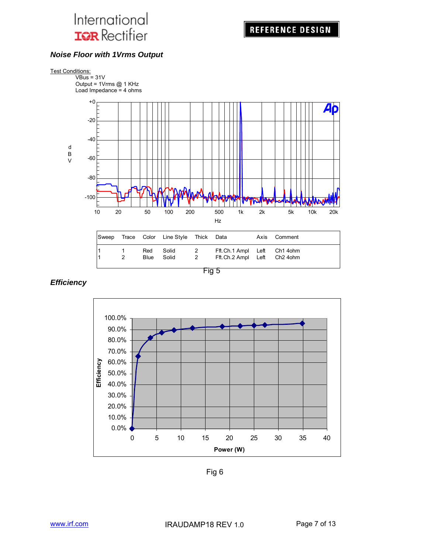### *Noise Floor with 1Vrms Output*



Fig 5

0.0% 10.0% 20.0% 30.0% 40.0% 50.0% 60.0% 70.0% 80.0% 90.0% 100.0% 0 5 10 15 20 25 30 35 40 **Power (W) Efficiency**

*Efficiency* 

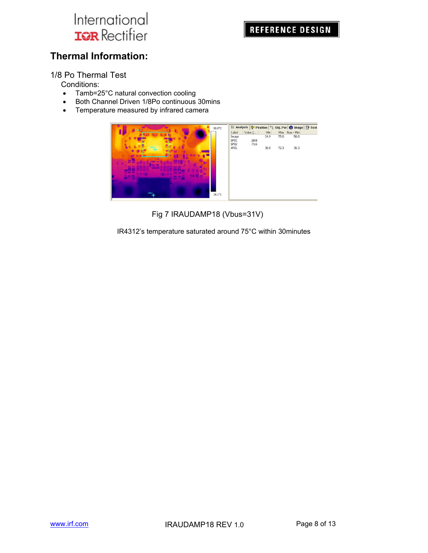## **Thermal Information:**

1/8 Po Thermal Test

Conditions:

- Tamb=25°C natural convection cooling
- Both Channel Driven 1/8Po continuous 30mins
- Temperature measured by infrared camera



Fig 7 IRAUDAMP18 (Vbus=31V)

IR4312's temperature saturated around 75°C within 30minutes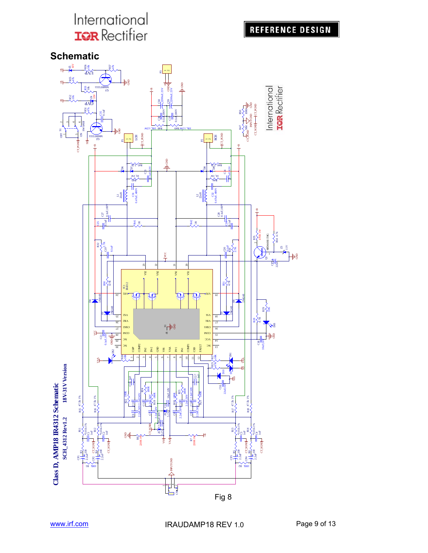**REFERENCE DESIGN** 

**Schematic**

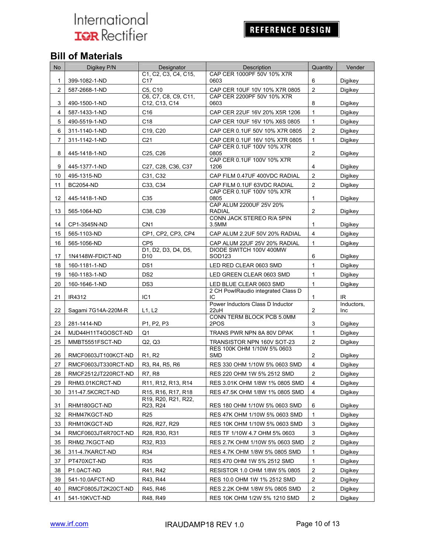## **REFERENCE DESIGN**

## **Bill of Materials**

| No             | Digikey P/N         | Designator                                                            | Description                                             | Quantity                | Vender                   |
|----------------|---------------------|-----------------------------------------------------------------------|---------------------------------------------------------|-------------------------|--------------------------|
| 1              | 399-1082-1-ND       | C1, C2, C3, C4, C15,<br>C17                                           | CAP CER 1000PF 50V 10% X7R<br>0603                      | 6                       | Digikey                  |
| $\overline{2}$ | 587-2668-1-ND       | C5, C10                                                               | CAP CER 10UF 10V 10% X7R 0805                           | $\overline{2}$          | Digikey                  |
| 3              | 490-1500-1-ND       | C6, C7, C8, C9, C11,<br>C12, C13, C14                                 | CAP CER 2200PF 50V 10% X7R<br>0603                      | 8                       | Digikey                  |
| 4              | 587-1433-1-ND       | C <sub>16</sub>                                                       | CAP CER 22UF 16V 20% X5R 1206                           | $\mathbf{1}$            | Digikey                  |
| 5              | 490-5519-1-ND       | C18                                                                   | CAP CER 10UF 16V 10% X6S 0805                           | $\mathbf{1}$            | Digikey                  |
| 6              | 311-1140-1-ND       | C19, C20                                                              | CAP CER 0.1UF 50V 10% X7R 0805                          | $\overline{2}$          | Digikey                  |
| $\overline{7}$ | 311-1142-1-ND       | C <sub>21</sub>                                                       | CAP CER 0.1UF 16V 10% X7R 0805                          | $\mathbf{1}$            | Digikey                  |
| 8              | 445-1418-1-ND       | C25, C26                                                              | CAP CER 0.1UF 100V 10% X7R<br>0805                      | $\overline{\mathbf{c}}$ | Digikey                  |
| 9              | 445-1377-1-ND       | C27, C28, C36, C37                                                    | CAP CER 0.1UF 100V 10% X7R<br>1206                      | 4                       | Digikey                  |
| 10             | 495-1315-ND         | C31, C32                                                              | CAP FILM 0.47UF 400VDC RADIAL                           | $\overline{2}$          | Digikey                  |
| 11             | <b>BC2054-ND</b>    | C33, C34                                                              | CAP FILM 0.1UF 63VDC RADIAL                             | 2                       | Digikey                  |
| 12             | 445-1418-1-ND       | C <sub>35</sub>                                                       | CAP CER 0.1UF 100V 10% X7R<br>0805                      | 1                       | Digikey                  |
| 13             | 565-1064-ND         | C38, C39                                                              | CAP ALUM 2200UF 25V 20%<br><b>RADIAL</b>                | $\overline{2}$          | Digikey                  |
|                |                     |                                                                       | CONN JACK STEREO R/A 5PIN                               |                         |                          |
| 14             | CP1-3545N-ND        | CN <sub>1</sub>                                                       | 3.5MM                                                   | 1                       | Digikey                  |
| 15             | 565-1103-ND         | CP1, CP2, CP3, CP4                                                    | CAP ALUM 2.2UF 50V 20% RADIAL                           | $\overline{4}$          | Digikey                  |
| 16             | 565-1056-ND         | CP <sub>5</sub><br>D1, D2, D3, D4, D5,                                | CAP ALUM 22UF 25V 20% RADIAL<br>DIODE SWITCH 100V 400MW | $\mathbf{1}$            | Digikey                  |
| 17             | 1N4148W-FDICT-ND    | D10                                                                   | SOD123                                                  | 6                       | Digikey                  |
| 18             | 160-1181-1-ND       | DS <sub>1</sub>                                                       | LED RED CLEAR 0603 SMD                                  | $\mathbf{1}$            | Digikey                  |
| 19             | 160-1183-1-ND       | DS <sub>2</sub>                                                       | LED GREEN CLEAR 0603 SMD                                | $\mathbf{1}$            | Digikey                  |
| 20             | 160-1646-1-ND       | DS <sub>3</sub>                                                       | LED BLUE CLEAR 0603 SMD                                 | $\mathbf{1}$            | Digikey                  |
| 21             | IR4312              | IC <sub>1</sub>                                                       | 2 CH PowlRaudio integrated Class D<br>IC                | 1                       | IR.                      |
| 22             | Sagami 7G14A-220M-R | L1, L2                                                                | Power Inductors Class D Inductor<br>22uH                | 2                       | Inductors,<br><b>Inc</b> |
| 23             | 281-1414-ND         | P <sub>1</sub> , P <sub>2</sub> , P <sub>3</sub>                      | CONN TERM BLOCK PCB 5.0MM<br>2POS                       | 3                       | Digikey                  |
| 24             | MJD44H11T4GOSCT-ND  | Q <sub>1</sub>                                                        | TRANS PWR NPN 8A 80V DPAK                               | $\mathbf{1}$            | Digikey                  |
| 25             | MMBT5551FSCT-ND     | Q2, Q3                                                                | TRANSISTOR NPN 160V SOT-23                              | $\overline{2}$          | Digikey                  |
| 26             | RMCF0603JT100KCT-ND | R <sub>1</sub> , R <sub>2</sub>                                       | RES 100K OHM 1/10W 5% 0603<br><b>SMD</b>                | 2                       | Digikey                  |
| 27             | RMCF0603JT330RCT-ND | R3, R4, R5, R6                                                        | RES 330 OHM 1/10W 5% 0603 SMD                           | 4                       | Digikey                  |
| 28             | RMCF2512JT220RCT-ND | R7. R8                                                                | RES 220 OHM 1W 5% 2512 SMD                              | $\overline{2}$          | Diaikev                  |
| 29             | RHM3.01KCRCT-ND     | R <sub>11</sub> , R <sub>12</sub> , R <sub>13</sub> , R <sub>14</sub> | RES 3.01K OHM 1/8W 1% 0805 SMD                          | 4                       | Digikey                  |
| 30             | 311-47.5KCRCT-ND    | R15, R16, R17, R18                                                    | RES 47.5K OHM 1/8W 1% 0805 SMD                          | $\overline{4}$          | Digikey                  |
| 31             | RHM180GCT-ND        | R19, R20, R21, R22,<br>R23, R24                                       | RES 180 OHM 1/10W 5% 0603 SMD                           | 6                       | Digikey                  |
| 32             | RHM47KGCT-ND        | R <sub>25</sub>                                                       | RES 47K OHM 1/10W 5% 0603 SMD                           | 1                       | Digikey                  |
| 33             | RHM10KGCT-ND        | R26, R27, R29                                                         | RES 10K OHM 1/10W 5% 0603 SMD                           | 3                       | Digikey                  |
| 34             | RMCF0603JT4R70CT-ND |                                                                       | RES TF 1/10W 4.7 OHM 5% 0603                            | 3                       | Digikey                  |
| 35             | RHM2.7KGCT-ND       | R28, R30, R31<br>R32, R33                                             | RES 2.7K OHM 1/10W 5% 0603 SMD                          | $\overline{\mathbf{c}}$ | Digikey                  |
| 36             | 311-4.7KARCT-ND     | R34                                                                   | RES 4.7K OHM 1/8W 5% 0805 SMD                           | 1                       | Digikey                  |
| 37             | PT470XCT-ND         | R35                                                                   | RES 470 OHM 1W 5% 2512 SMD                              | 1                       | Digikey                  |
| 38             | P1.0ACT-ND          | R41, R42                                                              | RESISTOR 1.0 OHM 1/8W 5% 0805                           | $\overline{c}$          | Digikey                  |
| 39             | 541-10.0AFCT-ND     | R43, R44                                                              | RES 10.0 OHM 1W 1% 2512 SMD                             | $\overline{\mathbf{c}}$ | Digikey                  |
| 40             | RMCF0805JT2K20CT-ND | R45, R46                                                              | RES 2.2K OHM 1/8W 5% 0805 SMD                           | $\overline{\mathbf{c}}$ | Digikey                  |
| 41             | 541-10KVCT-ND       | R48, R49                                                              | RES 10K OHM 1/2W 5% 1210 SMD                            | $\overline{2}$          | Digikey                  |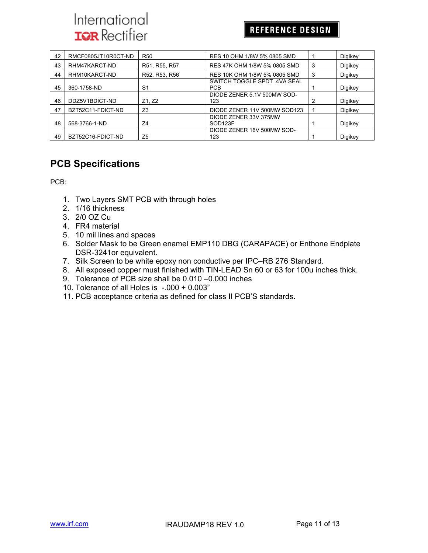## **REFERENCE DESIGN**

| 42 | RMCF0805JT10R0CT-ND | <b>R50</b>     | RES 10 OHM 1/8W 5% 0805 SMD                  |   | Digikey |
|----|---------------------|----------------|----------------------------------------------|---|---------|
| 43 | RHM47KARCT-ND       | R51, R55, R57  | RES 47K OHM 1/8W 5% 0805 SMD                 | 3 | Digikey |
| 44 | RHM10KARCT-ND       | R52, R53, R56  | RES 10K OHM 1/8W 5% 0805 SMD                 | 3 | Digikey |
| 45 | 360-1758-ND         | S <sub>1</sub> | SWITCH TOGGLE SPDT .4VA SEAL<br><b>PCB</b>   |   | Digikey |
| 46 | DDZ5V1BDICT-ND      | Z1, Z2         | DIODE ZENER 5.1V 500MW SOD-<br>123           | 2 | Digikey |
| 47 | BZT52C11-FDICT-ND   | Z <sub>3</sub> | DIODE ZENER 11V 500MW SOD123                 |   | Digikey |
| 48 | 568-3766-1-ND       | Z4             | DIODE ZENER 33V 375MW<br>SOD <sub>123F</sub> |   | Digikey |
| 49 | BZT52C16-FDICT-ND   | Z5             | DIODE ZENER 16V 500MW SOD-<br>123            |   | Digikey |

## **PCB Specifications**

PCB:

- 1. Two Layers SMT PCB with through holes
- 2. 1/16 thickness
- 3. 2/0 OZ Cu
- 4. FR4 material
- 5. 10 mil lines and spaces
- 6. Solder Mask to be Green enamel EMP110 DBG (CARAPACE) or Enthone Endplate DSR-3241or equivalent.
- 7. Silk Screen to be white epoxy non conductive per IPC–RB 276 Standard.
- 8. All exposed copper must finished with TIN-LEAD Sn 60 or 63 for 100u inches thick.
- 9. Tolerance of PCB size shall be 0.010 –0.000 inches
- 10. Tolerance of all Holes is -.000 + 0.003"
- 11. PCB acceptance criteria as defined for class II PCB'S standards.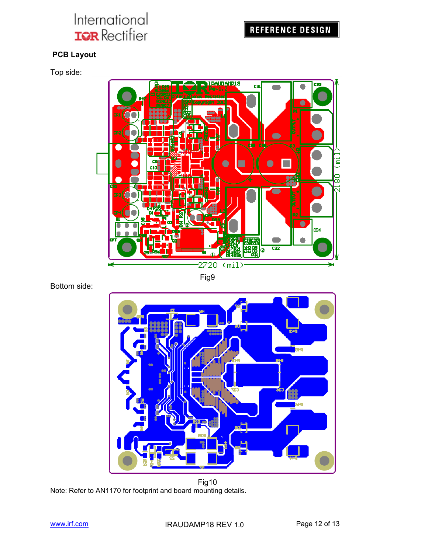### **PCB Layout**

Top side:



Bottom side:



**Fig10** Note: Refer to AN1170 for footprint and board mounting details.